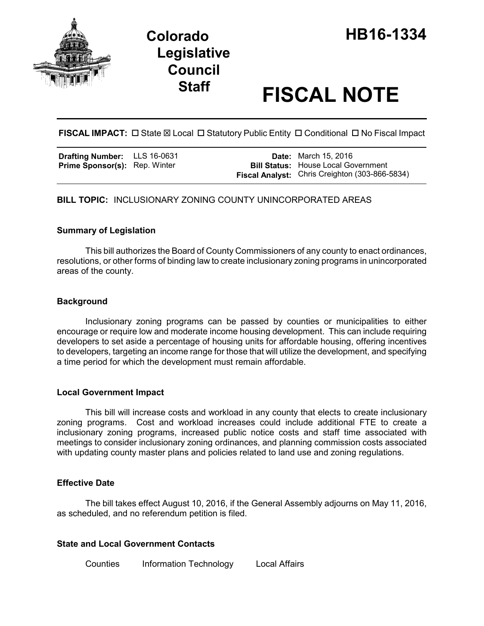

# **Staff FISCAL NOTE**

**FISCAL IMPACT:**  $\Box$  State  $\boxtimes$  Local  $\Box$  Statutory Public Entity  $\Box$  Conditional  $\Box$  No Fiscal Impact

**Drafting Number:** LLS 16-0631 Prime Sponsor(s): Rep. Winter

**Date:** March 15, 2016 **Bill Status:** House Local Government **Fiscal Analyst:** Chris Creighton (303-866-5834)

**BILL TOPIC:** INCLUSIONARY ZONING COUNTY UNINCORPORATED AREAS

## **Summary of Legislation**

This bill authorizes the Board of County Commissioners of any county to enact ordinances, resolutions, or other forms of binding law to create inclusionary zoning programs in unincorporated areas of the county.

### **Background**

Inclusionary zoning programs can be passed by counties or municipalities to either encourage or require low and moderate income housing development. This can include requiring developers to set aside a percentage of housing units for affordable housing, offering incentives to developers, targeting an income range for those that will utilize the development, and specifying a time period for which the development must remain affordable.

### **Local Government Impact**

This bill will increase costs and workload in any county that elects to create inclusionary zoning programs. Cost and workload increases could include additional FTE to create a inclusionary zoning programs, increased public notice costs and staff time associated with meetings to consider inclusionary zoning ordinances, and planning commission costs associated with updating county master plans and policies related to land use and zoning regulations.

### **Effective Date**

The bill takes effect August 10, 2016, if the General Assembly adjourns on May 11, 2016, as scheduled, and no referendum petition is filed.

### **State and Local Government Contacts**

Counties Information Technology Local Affairs